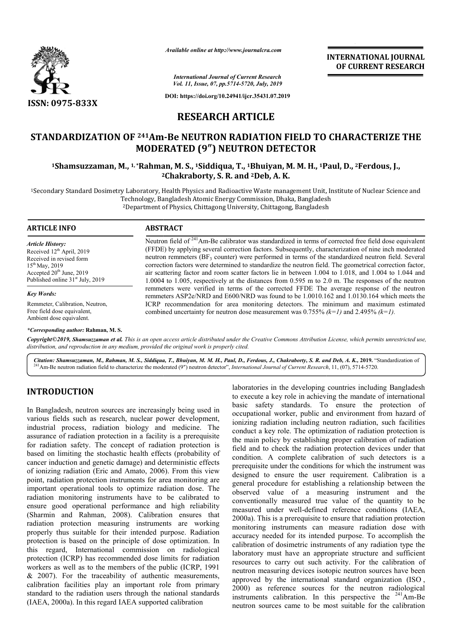

*Available online at http://www.journalcra.com*

*International Journal of Current Research Vol. 11, Issue, 07, pp.5714-5720, July, 2019*

**DOI: https://doi.org/10.24941/ijcr.35431.07.2019**

## **RESEARCH ARTICLE**

# **STANDARDIZATION OF 241Am-Be NEUTRON RADIATION FIELD TO CHARACTERIZE THE MODERATED (9 (9″) NEUTRON DETECTOR 1Shamsuzzaman, M., 1, \*Rahman Rahman, M. S., 1Siddiqua, T., 1Bhuiyan, M. M. H., 1Paul Be RADIATION FIELD Paul, D., 2Ferdous, J.,**

**2 2Chakraborty, S. R. and 2Deb, A. K.**

<sup>1</sup>Secondary Standard Dosimetry Laboratory, Health Physics and Radioactive Waste management Unit, Institute of Nuclear Science and<br>Technology, Bangladesh Atomic Energy Commission, Dhaka, Bangladesh<br><sup>2</sup>Department of Physics Technology, Bangladesh Atomic Energy Commission, Dhaka, Bangladesh <sup>2</sup>Department of Physics, Chittagong University, Chittagong, Bangladesh

| <b>ARTICLE INFO</b>                                                                                                                                                                               | <b>ABSTRACT</b>                                                                                                                                                                                                                                                                                                                                                                                                                                                                                                                                                                                                                                                |
|---------------------------------------------------------------------------------------------------------------------------------------------------------------------------------------------------|----------------------------------------------------------------------------------------------------------------------------------------------------------------------------------------------------------------------------------------------------------------------------------------------------------------------------------------------------------------------------------------------------------------------------------------------------------------------------------------------------------------------------------------------------------------------------------------------------------------------------------------------------------------|
| <b>Article History:</b><br>Received 12 <sup>th</sup> April, 2019<br>Received in revised form<br>$15^{th}$ May, 2019<br>Accepted $20th$ June, 2019<br>Published online 31 <sup>st</sup> July, 2019 | Neutron field of $241$ Am-Be calibrator was standardized in terms of corrected free field dose equivalent<br>(FFDE) by applying several correction factors. Subsequently, characterization of nine inch moderated<br>neutron remmeters (BF <sub>3</sub> counter) were performed in terms of the standardized neutron field. Several<br>correction factors were determined to standardize the neutron field. The geometrical correction factor,<br>air scattering factor and room scatter factors lie in between 1.004 to 1.018, and 1.004 to 1.044 and<br>$1.0004$ to 1.005, respectively at the distances from 0.595 m to 2.0 m. The responses of the neutron |
| <b>Key Words:</b>                                                                                                                                                                                 | remmeters were verified in terms of the corrected FFDE The average response of the neutron<br>remmeters ASP2e/NRD and E600/NRD was found to be 1.0010.162 and 1.0130.164 which meets the                                                                                                                                                                                                                                                                                                                                                                                                                                                                       |
| Remmeter, Calibration, Neutron,<br>Free field dose equivalent,<br>Ambient dose equivalent.                                                                                                        | ICRP recommendation for area monitoring detectors. The minimum and maximum estimated<br>combined uncertainty for neutron dose measurement was 0.755% $(k=1)$ and 2.495% $(k=1)$ .                                                                                                                                                                                                                                                                                                                                                                                                                                                                              |

#### *\*Corresponding author:* **Rahman, M. S.**

Copyright©2019, Shamsuzzaman et al. This is an open access article distributed under the Creative Commons Attribution License, which permits unrestricted use, *distribution, and reproduction in any medium, provided the original work is properly cited.*

Citation: Shamsuzzaman, M., Rahman, M. S., Siddiqua, T., Bhuiyan, M. M. H., Paul, D., Ferdous, J., Chakraborty, S. R. and Deb, A. K., 2019. "i<br><sup>241</sup>Am-Be neutron radiation field to characterize the moderated (9") neutron d *T., M. H., R. and Deb, A. K.,* **2019.** "Standardization of

## **INTRODUCTION**

In Bangladesh, neutron sources are increasingly being used in various fields such as research, nuclear power development, industrial process, radiation biology and medicine. The assurance of radiation protection in a facility is a prerequisite for radiation safety. The concept of radiation protection is based on limiting the stochastic health effects (probability of cancer induction and genetic damage) and deterministic effects of ionizing radiation (Eric and Amato, 2006). From this view point, radiation protection instruments for area monitoring are important operational tools to optimize radiation dose. The radiation monitoring instruments have to be calibrated to ensure good operational performance and high reliability (Sharmin and Rahman, 2008). Calibration ensures that radiation protection measuring instruments are working properly thus suitable for their intended purpose. Radiation protection is based on the principle of dose optimization. In this regard, International commission on radiological protection (ICRP) has recommended dose limits for radiation workers as well as to the members of the public (ICRP, 1991  $& 2007$ ). For the traceability of authentic measurements, calibration facilities play an important role from p primary standard to the radiation users through the national standards (IAEA, 2000a). In this regard IAEA supported calibration

laboratories in the developing countries including Bangladesh to execute a key role in achieving the mandate of international basic safety standards. To ensure the protection of occupational worker, public and environment from hazard of ionizing radiation including neutron radiation, such facilities conduct a key role. The optimization of radiation protection is the main policy by establishing proper calibration of radiation field and to check the radiation protection devices under that condition. A complete calibration of such detectors is a prerequisite under the conditions for which the instrument was designed to ensure the user requirement. Calibration is a general procedure for establishing a relationship between the observed value of a measuring instrument and the conventionally measured true value of the quantity to be observed value of a measuring instrument and the conventionally measured true value of the quantity to be measured under well-defined reference conditions (IAEA, 2000a). This is a prerequisite to ensure that radiation protection monitoring instruments can measure radiation dose with accuracy needed for its intended purpose. To accomplish the calibration of dosimetric instruments of any radiation type the laboratory must have an appropriate structure and sufficient resources to carry out such activity. For the calibration of neutron measuring devices isotopic neutron sources have been approved by the international standard organization (ISO). 2000) as reference sources for the neutron radiological 2000) as reference sources for the neutron radiological instruments calibration. In this perspective the  $^{241}$ Am-Be neutron sources came to be most suitable for the calibration externational fety standards. To ensure the protection of radiation including neutron radiation, such facilities key role. The optimization of radiation protection is policy by establishing proper calibration of radiation dosimetric instruments of any radiation type the<br>st have an appropriate structure and sufficient<br>carry out such activity. For the calibration of<br>pring devices isotopic neutron sources have been<br>the international standard o **INTERNATIONAL JOURNAL**<br> **OF CURRENT RESEARCH**<br> **OF CURRENT RESEARCH**<br> **OF CURRENT RESEARCH**<br> **OR**<br> **CD**<br> **CD**<br> **CD**<br> **CD**<br> **CD**<br> **CD**<br> **CD**<br> **CD**<br> **CD**<br> **CD**<br> **CD**<br> **CD**<br> **CD**<br> **CD**<br> **CD**<br> **CD**<br> **CD**<br> **CD**<br> **CD**<br> **CD**<br>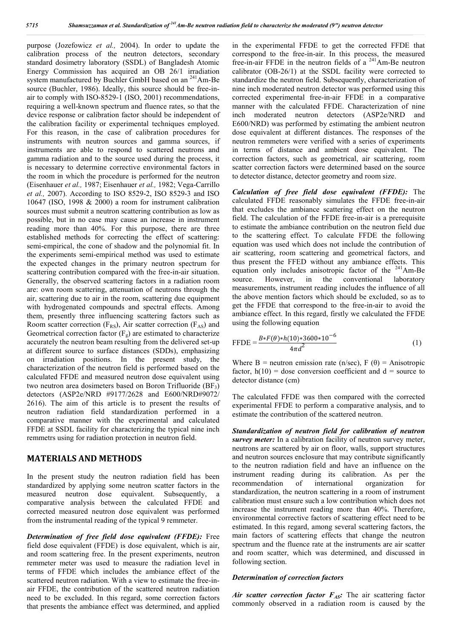purpose (Jozefowicz *et al.,* 2004). In order to update the calibration process of the neutron detectors, secondary standard dosimetry laboratory (SSDL) of Bangladesh Atomic Energy Commission has acquired an OB 26/1 irradiation system manufactured by Buchler GmbH based on an <sup>241</sup>Am-Be source (Buchler, 1986). Ideally, this source should be free-inair to comply with ISO-8529-1 (ISO, 2001) recommendations, requiring a well-known spectrum and fluence rates, so that the device response or calibration factor should be independent of the calibration facility or experimental techniques employed. For this reason, in the case of calibration procedures for instruments with neutron sources and gamma sources, if instruments are able to respond to scattered neutrons and gamma radiation and to the source used during the process, it is necessary to determine corrective environmental factors in the room in which the procedure is performed for the neutron (Eisenhauer *et al.,* 1987; Eisenhauer *et al.,* 1982; Vega-Carrillo *et al.,* 2007). According to ISO 8529-2, ISO 8529-3 and ISO 10647 (ISO, 1998 & 2000) a room for instrument calibration sources must submit a neutron scattering contribution as low as possible, but in no case may cause an increase in instrument reading more than 40%. For this purpose, there are three established methods for correcting the effect of scattering: semi-empirical, the cone of shadow and the polynomial fit. In the experiments semi-empirical method was used to estimate the expected changes in the primary neutron spectrum for scattering contribution compared with the free-in-air situation. Generally, the observed scattering factors in a radiation room are: own room scattering, attenuation of neutrons through the air, scattering due to air in the room, scattering due equipment with hydrogenated compounds and spectral effects. Among them, presently three influencing scattering factors such as Room scatter correction ( $F_{RS}$ ), Air scatter correction ( $F_{AS}$ ) and Geometrical correction factor  $(F_g)$  are estimated to characterize accurately the neutron beam resulting from the delivered set-up at different source to surface distances (SDDs), emphasizing on irradiation positions. In the present study, the characterization of the neutron field is performed based on the calculated FFDE and measured neutron dose equivalent using two neutron area dosimeters based on Boron Trifluoride  $(BF_3)$ detectors (ASP2e/NRD #9177/2628 and E600/NRD#9072/ 2616). The aim of this article is to present the results of neutron radiation field standardization performed in a comparative manner with the experimental and calculated FFDE at SSDL facility for characterizing the typical nine inch remmetrs using for radiation protection in neutron field.

### **MATERIALS AND METHODS**

In the present study the neutron radiation field has been standardized by applying some neutron scatter factors in the measured neutron dose equivalent. Subsequently, a comparative analysis between the calculated FFDE and corrected measured neutron dose equivalent was performed from the instrumental reading of the typical 9 remmeter.

*Determination of free field dose equivalent (FFDE):* Free field dose equivalent (FFDE) is dose equivalent, which is air, and room scattering free. In the present experiments, neutron remmeter meter was used to measure the radiation level in terms of FFDE which includes the ambiance effect of the scattered neutron radiation. With a view to estimate the free-inair FFDE, the contribution of the scattered neutron radiation need to be excluded. In this regard, some correction factors that presents the ambiance effect was determined, and applied in the experimental FFDE to get the corrected FFDE that correspond to the free-in-air. In this process, the measured free-in-air FFDE in the neutron fields of a  $241$ Am-Be neutron calibrator (OB-26/1) at the SSDL facility were corrected to standardize the neutron field. Subsequently, characterization of nine inch moderated neutron detector was performed using this corrected experimental free-in-air FFDE in a comparative manner with the calculated FFDE. Characterization of nine inch moderated neutron detectors (ASP2e/NRD and E600/NRD) was performed by estimating the ambient neutron dose equivalent at different distances. The responses of the neutron remmeters were verified with a series of experiments in terms of distance and ambient dose equivalent. The correction factors, such as geometrical, air scattering, room scatter correction factors were determined based on the source to detector distance, detector geometry and room size.

*Calculation of free field dose equivalent (FFDE):* The calculated FFDE reasonably simulates the FFDE free-in-air that excludes the ambiance scattering effect on the neutron field. The calculation of the FFDE free-in-air is a prerequisite to estimate the ambiance contribution on the neutron field due to the scattering effect. To calculate FFDE the following equation was used which does not include the contribution of air scattering, room scattering and geometrical factors, and thus present the FFED without any ambiance effects. This equation only includes anisotropic factor of the 241Am-Be source. However, in the conventional laboratory measurements, instrument reading includes the influence of all the above mention factors which should be excluded, so as to get the FFDE that correspond to the free-in-air to avoid the ambiance effect. In this regard, firstly we calculated the FFDE using the following equation

$$
\text{FFDE} = \frac{B * F(\theta) * h(10) * 3600 * 10^{-6}}{4\pi d^2} \tag{1}
$$

Where B = neutron emission rate (n/sec),  $F(\theta) =$  Anisotropic factor,  $h(10) =$  dose conversion coefficient and  $d =$  source to detector distance (cm)

The calculated FFDE was then compared with the corrected experimental FFDE to perform a comparative analysis, and to estimate the contribution of the scattered neutron.

*Standardization of neutron field for calibration of neutron survey meter:* In a calibration facility of neutron survey meter, neutrons are scattered by air on floor, walls, support structures and neutron sources enclosure that may contribute significantly to the neutron radiation field and have an influence on the instrument reading during its calibration. As per the recommendation of international organization for standardization, the neutron scattering in a room of instrument calibration must ensure such a low contribution which does not increase the instrument reading more than 40%. Therefore, environmental corrective factors of scattering effect need to be estimated. In this regard, among several scattering factors, the main factors of scattering effects that change the neutron spectrum and the fluence rate at the instruments are air scatter and room scatter, which was determined, and discussed in following section.

#### *Determination of correction factors*

Air scatter correction factor F<sub>AS</sub>: The air scattering factor commonly observed in a radiation room is caused by the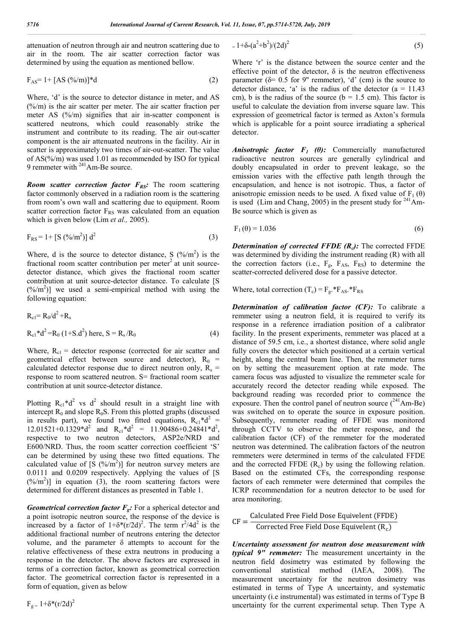attenuation of neutron through air and neutron scattering due to air in the room. The air scatter correction factor was determined by using the equation as mentioned bellow.

$$
F_{AS} = 1 + [AS (%/m)]*d
$$
 (2)

Where, 'd' is the source to detector distance in meter, and AS  $(\frac{6}{m})$  is the air scatter per meter. The air scatter fraction per meter AS (%/m) signifies that air in-scatter component is scattered neutrons, which could reasonably strike the instrument and contribute to its reading. The air out-scatter component is the air attenuated neutrons in the facility. Air in scatter is approximately two times of air-out-scatter. The value of AS(%/m) was used 1.01 as recommended by ISO for typical 9 remmeter with <sup>241</sup>Am-Be source.

*Room scatter correction factor*  $F_{RS}$ : The room scattering factor commonly observed in a radiation room is the scattering from room's own wall and scattering due to equipment. Room scatter correction factor  $F_{RS}$  was calculated from an equation which is given below (Lim *et al.,* 2005).

$$
F_{RS} = 1 + [S (%/m2)] d2
$$
 (3)

Where, d is the source to detector distance, S  $(\frac{\%}{m^2})$  is the fractional room scatter contribution per meter<sup>2</sup> at unit sourcedetector distance, which gives the fractional room scatter contribution at unit source-detector distance. To calculate [S  $(\frac{\%}{m^2})$ ] we used a semi-empirical method with using the following equation:

$$
R_{c1} = R_0/d^2 + R_s
$$
  
\n
$$
R_{c1} * d^2 = R_0 (1 + S.d^2) \text{ here, } S = R_s/R_0
$$
 (4)

Where,  $R_{c1}$  = detector response (corrected for air scatter and geometrical effect between source and detector),  $R_0$  = calculated detector response due to direct neutron only,  $R_s$  = response to room scattered neutron. S= fractional room scatter contribution at unit source-detector distance.

Plotting  $R_{c1}$ <sup>\*</sup>d<sup>2</sup> vs d<sup>2</sup> should result in a straight line with intercept  $R_0$  and slope  $R_0S$ . From this plotted graphs (discussed in results part), we found two fitted equations,  $R_{c1}$ <sup>\*</sup>d<sup>2</sup> = 12.01521+0.1329\*d<sup>2</sup> and  $R_{c1}$ \*d<sup>2</sup> = 11.90486+0.24841\*d<sup>2</sup>, respective to two neutron detectors, ASP2e/NRD and E600/NRD. Thus, the room scatter correction coefficient 'S' can be determined by using these two fitted equations. The calculated value of  $[S (9/2) ]$  for neutron survey meters are 0.0111 and 0.0209 respectively. Applying the values of [S  $(\frac{\%}{m^2})$ ] in equation (3), the room scattering factors were determined for different distances as presented in Table 1.

*Geometrical correction factor*  $F_{\text{g}}$ : For a spherical detector and a point isotropic neutron source, the response of the device is increased by a factor of  $1+\delta^*(r/2d)^2$ . The term  $r^2/4d^2$  is the additional fractional number of neutrons entering the detector volume, and the parameter  $\delta$  attempts to account for the relative effectiveness of these extra neutrons in producing a response in the detector. The above factors are expressed in terms of a correction factor, known as geometrical correction factor. The geometrical correction factor is represented in a form of equation, given as below

 $F_{\sigma} = 1 + \delta^{*}(r/2d)^{2}$ 

$$
= 1 + \delta_*(a^2 + b^2)/(2d)^2
$$
 (5)

Where 'r' is the distance between the source center and the effective point of the detector,  $\delta$  is the neutron effectiveness parameter ( $\delta$ = 0.5 for 9" remmeter), 'd' (cm) is the source to detector distance, 'a' is the radius of the detector  $(a = 11.43)$ cm), b is the radius of the source ( $b = 1.5$  cm). This factor is useful to calculate the deviation from inverse square law. This expression of geometrical factor is termed as Axton's formula which is applicable for a point source irradiating a spherical detector.

*Anisotropic factor F1 (θ):* Commercially manufactured radioactive neutron sources are generally cylindrical and doubly encapsulated in order to prevent leakage, so the emission varies with the effective path length through the encapsulation, and hence is not isotropic. Thus, a factor of anisotropic emission needs to be used. A fixed value of  $F_1(\theta)$ is used (Lim and Chang, 2005) in the present study for  $241$ Am-Be source which is given as

$$
F_1(\theta) = 1.036\tag{6}
$$

*Determination of corrected FFDE (R<sub>c</sub>):* The corrected FFDE was determined by dividing the instrument reading (R) with all the correction factors (i.e.,  $F_{g}$ ,  $F_{AS}$ ,  $F_{RS}$ ) to determine the scatter-corrected delivered dose for a passive detector.

Where, total correction  $(T_c) = F_g.*F_{AS}.*F_{RS}$ 

*Determination of calibration factor (CF):* To calibrate a remmeter using a neutron field, it is required to verify its response in a reference irradiation position of a calibrator facility. In the present experiments, remmeter was placed at a distance of 59.5 cm, i.e., a shortest distance, where solid angle fully covers the detector which positioned at a certain vertical height, along the central beam line. Then, the remmeter turns on by setting the measurement option at rate mode. The camera focus was adjusted to visualize the remmeter scale for accurately record the detector reading while exposed. The background reading was recorded prior to commence the exposure. Then the control panel of neutron source  $(^{241}Am-Be)$ was switched on to operate the source in exposure position. Subsequently, remmeter reading of FFDE was monitored through CCTV to observe the meter response, and the calibration factor (CF) of the remmeter for the moderated neutron was determined. The calibration factors of the neutron remmeters were determined in terms of the calculated FFDE and the corrected FFDE  $(R_c)$  by using the following relation. Based on the estimated CFs, the corresponding response factors of each remmeter were determined that compiles the ICRP recommendation for a neutron detector to be used for area monitoring.

 $CF = \frac{Calculated$  Free Field Dose Equivelent (FFDE) Corrected Free Field Dose Equivelent  $(R_c)$ 

*Uncertainty assessment for neutron dose measurement with typical 9" remmeter:* The measurement uncertainty in the neutron field dosimetry was estimated by following the conventional statistical method (IAEA, 2008). The measurement uncertainty for the neutron dosimetry was estimated in terms of Type A uncertainty, and systematic uncertainty (i.e instrumental) was estimated in terms of Type B uncertainty for the current experimental setup. Then Type A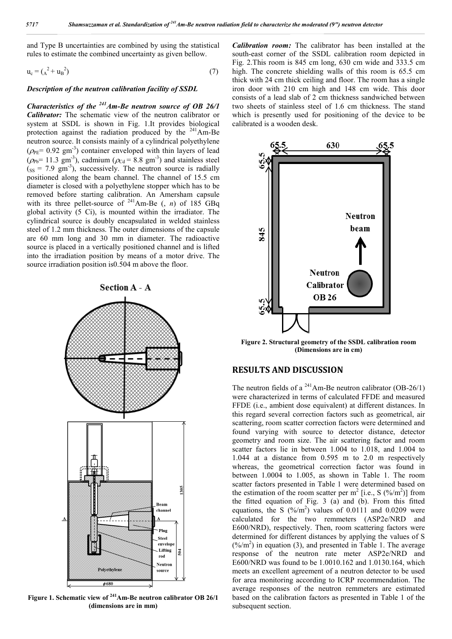and Type B uncertainties are combined by using the statistical rules to estimate the combined uncertainty as given bellow.

$$
u_c = (A^2 + u_B^2) \tag{7}
$$

#### *Description of the neutron calibration facility of SSDL*

*Characteristics of the 241Am-Be neutron source of OB 26/1 Calibrator:* The schematic view of the neutron calibrator or system at SSDL is shown in Fig. 1.It provides biological protection against the radiation produced by the <sup>241</sup>Am-Be neutron source. It consists mainly of a cylindrical polyethylene  $(\rho_{PE} = 0.92 \text{ gm}^3)$  container enveloped with thin layers of lead  $(\rho_{\text{Pb}} = 11.3 \text{ gm}^3)$ , cadmium  $(\rho_{\text{Cd}} = 8.8 \text{ gm}^3)$  and stainless steel  $(s<sub>ss</sub> = 7.9 \text{ gm}^3)$ , successively. The neutron source is radially positioned along the beam channel. The channel of 15.5 cm diameter is closed with a polyethylene stopper which has to be removed before starting calibration. An Amersham capsule with its three pellet-source of <sup>241</sup>Am-Be (, *n*) of 185 GBq global activity (5 Ci), is mounted within the irradiator. The cylindrical source is doubly encapsulated in welded stainless steel of 1.2 mm thickness. The outer dimensions of the capsule are 60 mm long and 30 mm in diameter. The radioactive source is placed in a vertically positioned channel and is lifted into the irradiation position by means of a motor drive. The source irradiation position is0.504 m above the floor.



**Figure 1. Schematic view of 241Am-Be neutron calibrator OB 26/1 (dimensions are in mm)**

*Calibration room:* The calibrator has been installed at the south-east corner of the SSDL calibration room depicted in Fig. 2.This room is 845 cm long, 630 cm wide and 333.5 cm high. The concrete shielding walls of this room is 65.5 cm thick with 24 cm thick ceiling and floor. The room has a single iron door with 210 cm high and 148 cm wide. This door consists of a lead slab of 2 cm thickness sandwiched between two sheets of stainless steel of 1.6 cm thickness. The stand which is presently used for positioning of the device to be calibrated is a wooden desk.



**Figure 2. Structural geometry of the SSDL calibration room (Dimensions are in cm)**

## **RESULTS AND DISCUSSION**

The neutron fields of a <sup>241</sup>Am-Be neutron calibrator (OB-26/1) were characterized in terms of calculated FFDE and measured FFDE (i.e., ambient dose equivalent) at different distances. In this regard several correction factors such as geometrical, air scattering, room scatter correction factors were determined and found varying with source to detector distance, detector geometry and room size. The air scattering factor and room scatter factors lie in between 1.004 to 1.018, and 1.004 to 1.044 at a distance from 0.595 m to 2.0 m respectively whereas, the geometrical correction factor was found in between 1.0004 to 1.005, as shown in Table 1. The room scatter factors presented in Table 1 were determined based on the estimation of the room scatter per  $m^2$  [i.e., S (%/m<sup>2</sup>)] from the fitted equation of Fig. 3 (a) and (b). From this fitted equations, the S  $(\frac{\%}{m^2})$  values of 0.0111 and 0.0209 were calculated for the two remmeters (ASP2e/NRD and E600/NRD), respectively. Then, room scattering factors were determined for different distances by applying the values of S  $(\frac{\%}{m^2})$  in equation (3), and presented in Table 1. The average response of the neutron rate meter ASP2e/NRD and E600/NRD was found to be 1.0010.162 and 1.0130.164, which meets an excellent agreement of a neutron detector to be used for area monitoring according to ICRP recommendation. The average responses of the neutron remmeters are estimated based on the calibration factors as presented in Table 1 of the subsequent section.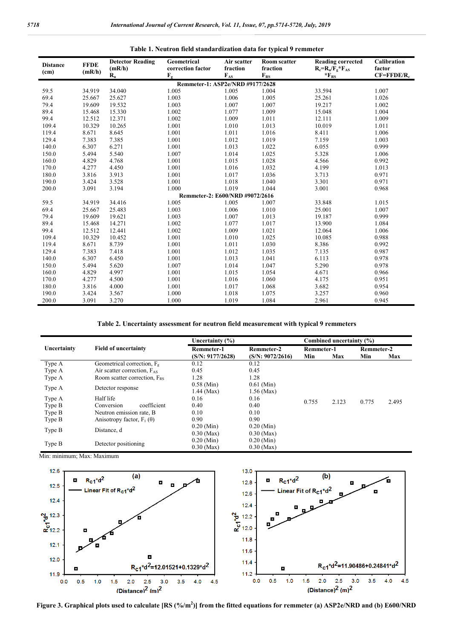| <b>Distance</b><br>(c <sub>m</sub> ) | <b>FFDE</b><br>(mR/h) | <b>Detector Reading</b><br>(mR/h) | Geometrical<br>correction factor                | Air scatter<br>fraction | <b>Room scatter</b><br>fraction | <b>Reading corrected</b><br>$R_c=R_u/F_v*F_{AS}$ | Calibration<br>factor<br>$CF = F F D E / R_c$ |  |
|--------------------------------------|-----------------------|-----------------------------------|-------------------------------------------------|-------------------------|---------------------------------|--------------------------------------------------|-----------------------------------------------|--|
|                                      |                       | $\mathbf{R}_{\mathbf{u}}$         | $F_{\rm g}$<br>Remmeter-1: ASP2e/NRD #9177/2628 | $F_{AS}$                | $F_{RS}$                        | $*_{FRS}$                                        |                                               |  |
| 59.5                                 | 34.919                | 34.040                            |                                                 | 1.005                   |                                 | 33.594                                           | 1.007                                         |  |
|                                      |                       |                                   | 1.005                                           |                         | 1.004                           |                                                  |                                               |  |
| 69.4                                 | 25.667                | 25.627                            | 1.003                                           | 1.006                   | 1.005                           | 25.261                                           | 1.026                                         |  |
| 79.4                                 | 19.609                | 19.532                            | 1.003                                           | 1.007                   | 1.007                           | 19.217                                           | 1.002                                         |  |
| 89.4                                 | 15.468                | 15.330                            | 1.002                                           | 1.077                   | 1.009                           | 15.048                                           | 1.004                                         |  |
| 99.4                                 | 12.512                | 12.371                            | 1.002                                           | 1.009                   | 1.011                           | 12.111                                           | 1.009                                         |  |
| 109.4                                | 10.329                | 10.265                            | 1.001                                           | 1.010                   | 1.013                           | 10.019                                           | 1.011                                         |  |
| 119.4                                | 8.671                 | 8.645                             | 1.001                                           | 1.011                   | 1.016                           | 8.411                                            | 1.006                                         |  |
| 129.4                                | 7.383                 | 7.385                             | 1.001                                           | 1.012                   | 1.019                           | 7.159                                            | 1.003                                         |  |
| 140.0                                | 6.307                 | 6.271                             | 1.001                                           | 1.013                   | 1.022                           | 6.055                                            | 0.999                                         |  |
| 150.0                                | 5.494                 | 5.540                             | 1.007                                           | 1.014                   | 1.025                           | 5.328                                            | 1.006                                         |  |
| 160.0                                | 4.829                 | 4.768                             | 1.001                                           | 1.015                   | 1.028                           | 4.566                                            | 0.992                                         |  |
| 170.0                                | 4.277                 | 4.450                             | 1.001                                           | 1.016                   | 1.032                           | 4.199                                            | 1.013                                         |  |
| 180.0                                | 3.816                 | 3.913                             | 1.001                                           | 1.017                   | 1.036                           | 3.713                                            | 0.971                                         |  |
| 190.0                                | 3.424                 | 3.528                             | 1.001                                           | 1.018                   | 1.040                           | 3.301                                            | 0.971                                         |  |
| 200.0                                | 3.091                 | 3.194                             | 1.000                                           | 1.019                   | 1.044                           | 3.001                                            | 0.968                                         |  |
|                                      |                       |                                   | Remmeter-2: E600/NRD #9072/2616                 |                         |                                 |                                                  |                                               |  |
| 59.5                                 | 34.919                | 34.416                            | 1.005                                           | 1.005                   | 1.007                           | 33.848                                           | 1.015                                         |  |
| 69.4                                 | 25.667                | 25.483                            | 1.003                                           | 1.006                   | 1.010                           | 25.001                                           | 1.007                                         |  |
| 79.4                                 | 19.609                | 19.621                            | 1.003                                           | 1.007                   | 1.013                           | 19.187                                           | 0.999                                         |  |
| 89.4                                 | 15.468                | 14.271                            | 1.002                                           | 1.077                   | 1.017                           | 13.900                                           | 1.084                                         |  |
| 99.4                                 | 12.512                | 12.441                            | 1.002                                           | 1.009                   | 1.021                           | 12.064                                           | 1.006                                         |  |
| 109.4                                | 10.329                | 10.452                            | 1.001                                           | 1.010                   | 1.025                           | 10.085                                           | 0.988                                         |  |
| 119.4                                | 8.671                 | 8.739                             | 1.001                                           | 1.011                   | 1.030                           | 8.386                                            | 0.992                                         |  |
| 129.4                                | 7.383                 | 7.418                             | 1.001                                           | 1.012                   | 1.035                           | 7.135                                            | 0.987                                         |  |
| 140.0                                | 6.307                 | 6.450                             | 1.001                                           | 1.013                   | 1.041                           | 6.113                                            | 0.978                                         |  |
| 150.0                                | 5.494                 | 5.620                             | 1.007                                           | 1.014                   | 1.047                           | 5.290                                            | 0.978                                         |  |
| 160.0                                | 4.829                 | 4.997                             | 1.001                                           | 1.015                   | 1.054                           | 4.671                                            | 0.966                                         |  |
| 170.0                                | 4.277                 | 4.500                             | 1.001                                           | 1.016                   | 1.060                           | 4.175                                            | 0.951                                         |  |
| 180.0                                | 3.816                 | 4.000                             | 1.001                                           | 1.017                   | 1.068                           | 3.682                                            | 0.954                                         |  |
| 190.0                                | 3.424                 | 3.567                             | 1.000                                           | 1.018                   | 1.075                           | 3.257                                            | 0.960                                         |  |
| 200.0                                | 3.091                 | 3.270                             | 1.000                                           | 1.019                   | 1.084                           | 2.961                                            | 0.945                                         |  |

**Table 2. Uncertainty assessment for neutron field measurement with typical 9 remmeters**

|                       |                                               | Uncertainty $(\% )$                   | Combined uncertainty (%)       |                                 |       |       |                   |  |
|-----------------------|-----------------------------------------------|---------------------------------------|--------------------------------|---------------------------------|-------|-------|-------------------|--|
| Uncertainty           | <b>Field of uncertainty</b>                   | <b>Remmeter-1</b><br>(S/N: 9177/2628) | Remmeter-2<br>(S/N: 9072/2616) | <b>Remmeter-1</b><br>Min<br>Max |       | Min   | Remmeter-2<br>Max |  |
| Type A                | Geometrical correction, F <sub><i>o</i></sub> | 0.12                                  | 0.12                           |                                 |       |       |                   |  |
| Type A                | Air scatter correction, F <sub>AS</sub>       | 0.45                                  | 0.45                           |                                 |       |       |                   |  |
| Type A                | Room scatter correction, $F_{RS}$             | 1.28                                  | 1.28                           |                                 |       |       |                   |  |
| Type A                | Detector response                             | $0.58$ (Min)<br>$1.44$ (Max)          | $0.61$ (Min)<br>$1.56$ (Max)   |                                 |       |       |                   |  |
| Type A                | Half life                                     | 0.16                                  | 0.16                           |                                 |       |       |                   |  |
| Type B                | coefficient<br>Conversion                     | 0.40                                  | 0.40                           | 0.755                           | 2.123 | 0.775 | 2.495             |  |
| Type B                | Neutron emission rate, B                      | 0.10                                  | 0.10                           |                                 |       |       |                   |  |
| Type B                | Anisotropy factor, $F_1(\theta)$              | 0.90                                  | 0.90                           |                                 |       |       |                   |  |
| Type B<br>Distance, d |                                               | $0.20$ (Min)                          | $0.20$ (Min)                   |                                 |       |       |                   |  |
|                       |                                               | $0.30$ (Max)                          | $0.30$ (Max)                   |                                 |       |       |                   |  |
| Type B                | Detector positioning                          | $0.20$ (Min)                          | $0.20$ (Min)                   |                                 |       |       |                   |  |
|                       |                                               | $0.30$ (Max)                          | $0.30$ (Max)                   |                                 |       |       |                   |  |

Min: minimum; Max: Maximum



**Figure 3. Graphical plots used to calculate [RS (%/m2 )] from the fitted equations for remmeter (a) ASP2e/NRD and (b) E600/NRD**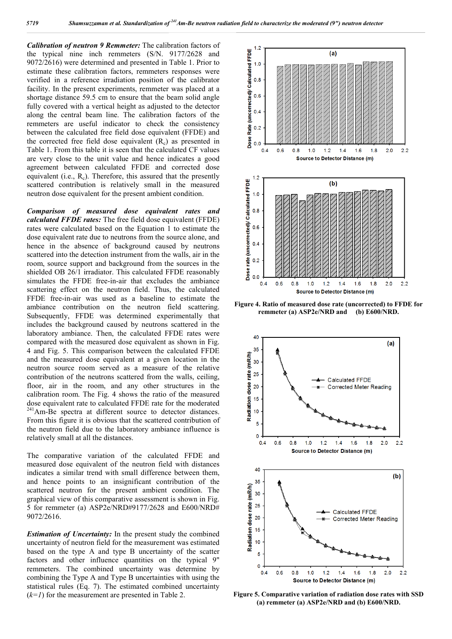*Calibration of neutron 9 Remmeter:* The calibration factors of the typical nine inch remmeters (S/N. 9177/2628 and 9072/2616) were determined and presented in Table 1. Prior to estimate these calibration factors, remmeters responses were verified in a reference irradiation position of the calibrator facility. In the present experiments, remmeter was placed at a shortage distance 59.5 cm to ensure that the beam solid angle fully covered with a vertical height as adjusted to the detector along the central beam line. The calibration factors of the remmeters are useful indicator to check the consistency between the calculated free field dose equivalent (FFDE) and the corrected free field dose equivalent  $(R_c)$  as presented in Table 1. From this table it is seen that the calculated CF values are very close to the unit value and hence indicates a good agreement between calculated FFDE and corrected dose equivalent (i.e.,  $R_c$ ). Therefore, this assured that the presently scattered contribution is relatively small in the measured neutron dose equivalent for the present ambient condition.

*Comparison of measured dose equivalent rates and calculated FFDE rates:* The free field dose equivalent (FFDE) rates were calculated based on the Equation 1 to estimate the dose equivalent rate due to neutrons from the source alone, and hence in the absence of background caused by neutrons scattered into the detection instrument from the walls, air in the room, source support and background from the sources in the shielded OB 26/1 irradiator. This calculated FFDE reasonably simulates the FFDE free-in-air that excludes the ambiance scattering effect on the neutron field. Thus, the calculated FFDE free-in-air was used as a baseline to estimate the ambiance contribution on the neutron field scattering. Subsequently, FFDE was determined experimentally that includes the background caused by neutrons scattered in the laboratory ambiance. Then, the calculated FFDE rates were compared with the measured dose equivalent as shown in Fig. 4 and Fig. 5. This comparison between the calculated FFDE and the measured dose equivalent at a given location in the neutron source room served as a measure of the relative contribution of the neutrons scattered from the walls, ceiling, floor, air in the room, and any other structures in the calibration room. The Fig. 4 shows the ratio of the measured dose equivalent rate to calculated FFDE rate for the moderated <sup>241</sup>Am-Be spectra at different source to detector distances. From this figure it is obvious that the scattered contribution of the neutron field due to the laboratory ambiance influence is relatively small at all the distances.

The comparative variation of the calculated FFDE and measured dose equivalent of the neutron field with distances indicates a similar trend with small difference between them, and hence points to an insignificant contribution of the scattered neutron for the present ambient condition. The graphical view of this comparative assessment is shown in Fig. 5 for remmeter (a) ASP2e/NRD#9177/2628 and E600/NRD# 9072/2616.

*Estimation of Uncertainty:* In the present study the combined uncertainty of neutron field for the measurement was estimated based on the type A and type B uncertainty of the scatter factors and other influence quantities on the typical 9" remmeters. The combined uncertainty was determine by combining the Type A and Type B uncertainties with using the statistical rules (Eq. 7). The estimated combined uncertainty  $(k=1)$  for the measurement are presented in Table 2.



**Figure 4. Ratio of measured dose rate (uncorrected) to FFDE for remmeter (a) ASP2e/NRD and (b) E600/NRD.**



**Figure 5. Comparative variation of radiation dose rates with SSD (a) remmeter (a) ASP2e/NRD and (b) E600/NRD.**